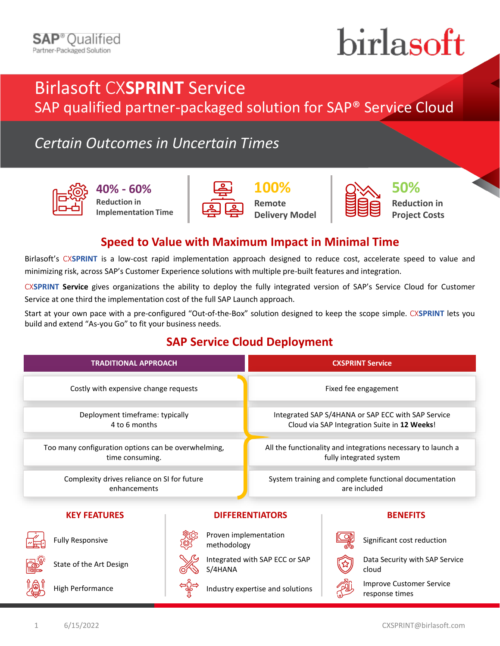# birlasoft

## Birlasoft CX**SPRINT** Service

SAP qualified partner-packaged solution for SAP® Service Cloud

### *Certain Outcomes in Uncertain Times*



**40% - 60% Reduction in Implementation Time**



**100% Remote Delivery Model**



**50% Reduction in Project Costs**

#### **Speed to Value with Maximum Impact in Minimal Time**

Birlasoft's CX**SPRINT** is a low-cost rapid implementation approach designed to reduce cost, accelerate speed to value and minimizing risk, across SAP's Customer Experience solutions with multiple pre-built features and integration.

CX**SPRINT Service** gives organizations the ability to deploy the fully integrated version of SAP's Service Cloud for Customer Service at one third the implementation cost of the full SAP Launch approach.

Start at your own pace with a pre-configured "Out-of-the-Box" solution designed to keep the scope simple. CX**SPRINT** lets you build and extend "As-you Go" to fit your business needs.

#### **SAP Service Cloud Deployment**

| <b>TRADITIONAL APPROACH</b>                                            |                                           | <b>CXSPRINT Service</b>                                                                            |  |                                                   |
|------------------------------------------------------------------------|-------------------------------------------|----------------------------------------------------------------------------------------------------|--|---------------------------------------------------|
| Costly with expensive change requests                                  |                                           | Fixed fee engagement                                                                               |  |                                                   |
| Deployment timeframe: typically<br>4 to 6 months                       |                                           | Integrated SAP S/4HANA or SAP ECC with SAP Service<br>Cloud via SAP Integration Suite in 12 Weeks! |  |                                                   |
| Too many configuration options can be overwhelming,<br>time consuming. |                                           | All the functionality and integrations necessary to launch a<br>fully integrated system            |  |                                                   |
| Complexity drives reliance on SI for future<br>enhancements            |                                           | System training and complete functional documentation<br>are included                              |  |                                                   |
| <b>KEY FEATURES</b>                                                    |                                           | <b>DIFFERENTIATORS</b>                                                                             |  | <b>BENEFITS</b>                                   |
| <b>Fully Responsive</b>                                                | Proven implementation<br>methodology      |                                                                                                    |  | Significant cost reduction                        |
| State of the Art Design                                                | Integrated with SAP ECC or SAP<br>S/4HANA |                                                                                                    |  | Data Security with SAP Service<br>cloud           |
| <b>High Performance</b>                                                | Industry expertise and solutions          |                                                                                                    |  | <b>Improve Customer Service</b><br>response times |